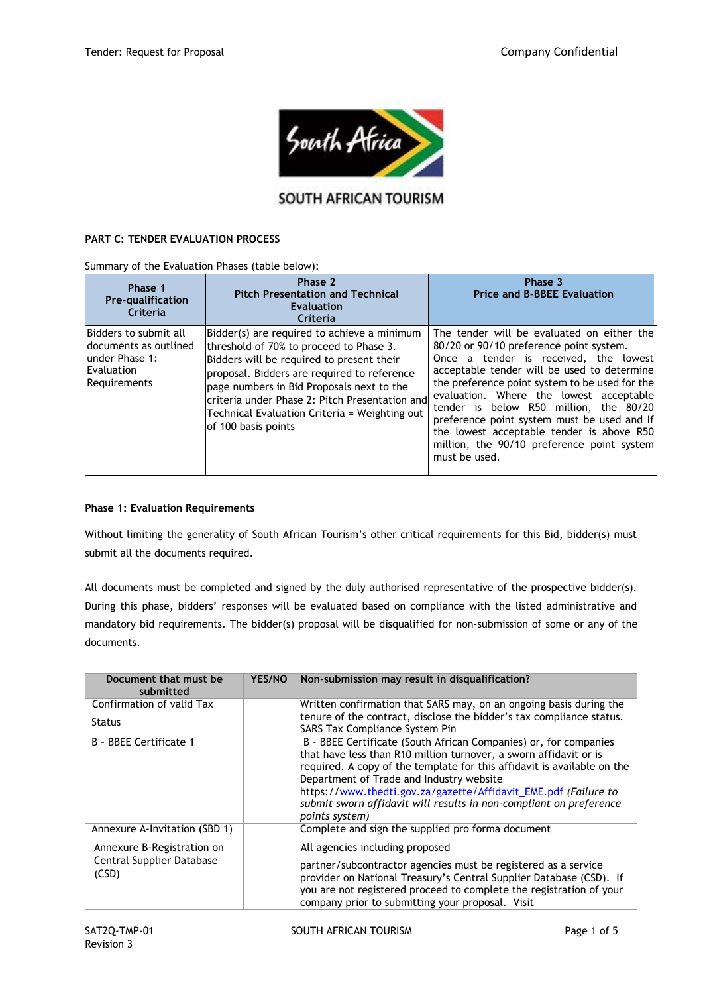

# SOUTH AFRICAN TOURISM

### **PART C: TENDER EVALUATION PROCESS**

Summary of the Evaluation Phases (table below):

| Phase 1<br><b>Pre-qualification</b><br>Criteria                                                         | Phase 2<br><b>Pitch Presentation and Technical</b><br><b>Evaluation</b><br>Criteria                                                                                                                                                                                                                                                                       | Phase 3<br><b>Price and B-BBEE Evaluation</b>                                                                                                                                                                                                                                                                                                                                                                                                                                   |
|---------------------------------------------------------------------------------------------------------|-----------------------------------------------------------------------------------------------------------------------------------------------------------------------------------------------------------------------------------------------------------------------------------------------------------------------------------------------------------|---------------------------------------------------------------------------------------------------------------------------------------------------------------------------------------------------------------------------------------------------------------------------------------------------------------------------------------------------------------------------------------------------------------------------------------------------------------------------------|
| Bidders to submit all<br>ldocuments as outlined<br>lunder Phase 1:<br>Evaluation<br><b>Requirements</b> | Bidder(s) are required to achieve a minimum<br>threshold of 70% to proceed to Phase 3.<br>Bidders will be required to present their<br>proposal. Bidders are required to reference<br>page numbers in Bid Proposals next to the<br>criteria under Phase 2: Pitch Presentation and<br>Technical Evaluation Criteria = Weighting out<br>of 100 basis points | The tender will be evaluated on either the<br>80/20 or 90/10 preference point system.<br>Once a tender is received, the lowest<br>acceptable tender will be used to determine<br>the preference point system to be used for the<br>evaluation. Where the lowest acceptable<br>tender is below R50 million, the 80/20<br>preference point system must be used and If<br>the lowest acceptable tender is above R50<br>million, the 90/10 preference point system<br>must be used. |

#### **Phase 1: Evaluation Requirements**

Without limiting the generality of South African Tourism's other critical requirements for this Bid, bidder(s) must submit all the documents required.

All documents must be completed and signed by the duly authorised representative of the prospective bidder(s). During this phase, bidders' responses will be evaluated based on compliance with the listed administrative and mandatory bid requirements. The bidder(s) proposal will be disqualified for non-submission of some or any of the documents.

| Document that must be<br>submitted                               | <b>YES/NO</b> | Non-submission may result in disqualification?                                                                                                                                                                                                                                                                                                                                                                          |
|------------------------------------------------------------------|---------------|-------------------------------------------------------------------------------------------------------------------------------------------------------------------------------------------------------------------------------------------------------------------------------------------------------------------------------------------------------------------------------------------------------------------------|
| Confirmation of valid Tax<br><b>Status</b>                       |               | Written confirmation that SARS may, on an ongoing basis during the<br>tenure of the contract, disclose the bidder's tax compliance status.<br>SARS Tax Compliance System Pin                                                                                                                                                                                                                                            |
| B - BBEE Certificate 1                                           |               | B - BBEE Certificate (South African Companies) or, for companies<br>that have less than R10 million turnover, a sworn affidavit or is<br>required. A copy of the template for this affidavit is available on the<br>Department of Trade and Industry website<br>https://www.thedti.gov.za/gazette/Affidavit_EME.pdf (Failure to<br>submit sworn affidavit will results in non-compliant on preference<br>points system) |
| Annexure A-Invitation (SBD 1)                                    |               | Complete and sign the supplied pro forma document                                                                                                                                                                                                                                                                                                                                                                       |
| Annexure B-Registration on<br>Central Supplier Database<br>(CSD) |               | All agencies including proposed<br>partner/subcontractor agencies must be registered as a service<br>provider on National Treasury's Central Supplier Database (CSD). If<br>you are not registered proceed to complete the registration of your<br>company prior to submitting your proposal. Visit                                                                                                                     |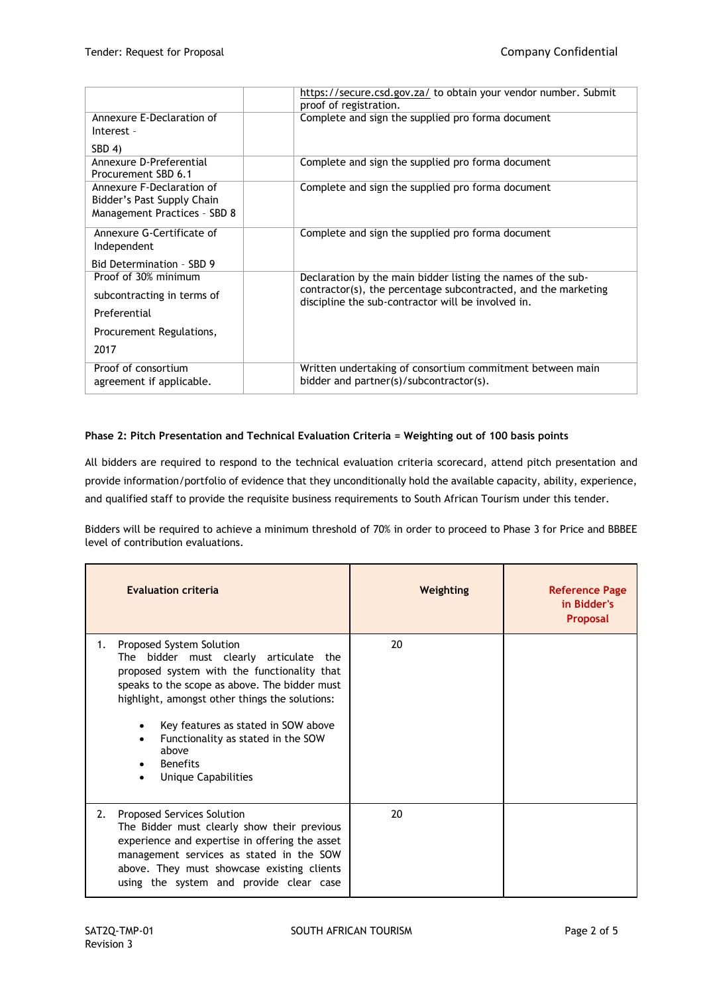|                                                | https://secure.csd.gov.za/ to obtain your vendor number. Submit |
|------------------------------------------------|-----------------------------------------------------------------|
|                                                | proof of registration.                                          |
| Annexure E-Declaration of                      | Complete and sign the supplied pro forma document               |
| Interest -                                     |                                                                 |
| SBD 4)                                         |                                                                 |
| Annexure D-Preferential<br>Procurement SBD 6.1 | Complete and sign the supplied pro forma document               |
| Annexure F-Declaration of                      | Complete and sign the supplied pro forma document               |
| Bidder's Past Supply Chain                     |                                                                 |
|                                                |                                                                 |
| Management Practices - SBD 8                   |                                                                 |
| Annexure G-Certificate of                      | Complete and sign the supplied pro forma document               |
| Independent                                    |                                                                 |
| Bid Determination - SBD 9                      |                                                                 |
| Proof of 30% minimum                           | Declaration by the main bidder listing the names of the sub-    |
| subcontracting in terms of                     | contractor(s), the percentage subcontracted, and the marketing  |
|                                                | discipline the sub-contractor will be involved in.              |
| Preferential                                   |                                                                 |
| Procurement Regulations,                       |                                                                 |
| 2017                                           |                                                                 |
| Proof of consortium                            | Written undertaking of consortium commitment between main       |
| agreement if applicable.                       | bidder and partner(s)/subcontractor(s).                         |
|                                                |                                                                 |

## **Phase 2: Pitch Presentation and Technical Evaluation Criteria = Weighting out of 100 basis points**

All bidders are required to respond to the technical evaluation criteria scorecard, attend pitch presentation and provide information/portfolio of evidence that they unconditionally hold the available capacity, ability, experience, and qualified staff to provide the requisite business requirements to South African Tourism under this tender.

Bidders will be required to achieve a minimum threshold of 70% in order to proceed to Phase 3 for Price and BBBEE level of contribution evaluations.

| <b>Evaluation criteria</b>                                                                                                                                                                                                                                                                                                                                    | Weighting | <b>Reference Page</b><br>in Bidder's<br><b>Proposal</b> |
|---------------------------------------------------------------------------------------------------------------------------------------------------------------------------------------------------------------------------------------------------------------------------------------------------------------------------------------------------------------|-----------|---------------------------------------------------------|
| Proposed System Solution<br>1.<br>bidder must clearly articulate the<br>The<br>proposed system with the functionality that<br>speaks to the scope as above. The bidder must<br>highlight, amongst other things the solutions:<br>Key features as stated in SOW above<br>Functionality as stated in the SOW<br>above<br><b>Benefits</b><br>Unique Capabilities | 20        |                                                         |
| Proposed Services Solution<br>2.<br>The Bidder must clearly show their previous<br>experience and expertise in offering the asset<br>management services as stated in the SOW<br>above. They must showcase existing clients<br>using the system and provide clear case                                                                                        | 20        |                                                         |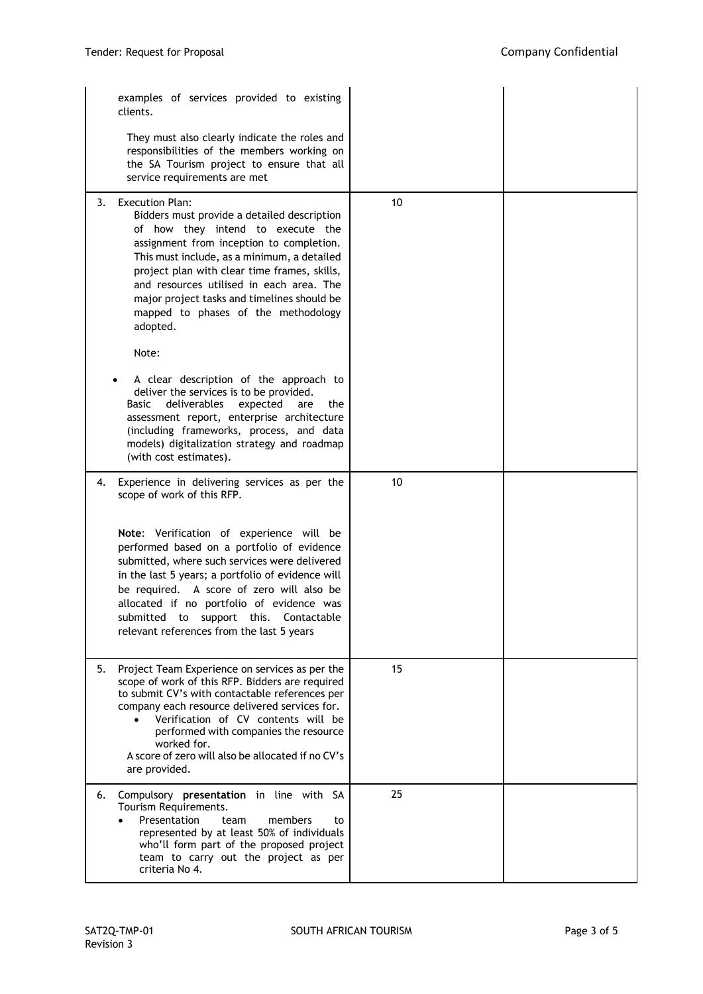|    | examples of services provided to existing<br>clients.                                                                                                                                                                                                                                                                                                                                                        |    |  |
|----|--------------------------------------------------------------------------------------------------------------------------------------------------------------------------------------------------------------------------------------------------------------------------------------------------------------------------------------------------------------------------------------------------------------|----|--|
|    | They must also clearly indicate the roles and<br>responsibilities of the members working on<br>the SA Tourism project to ensure that all<br>service requirements are met                                                                                                                                                                                                                                     |    |  |
| 3. | <b>Execution Plan:</b><br>Bidders must provide a detailed description<br>of how they intend to execute the<br>assignment from inception to completion.<br>This must include, as a minimum, a detailed<br>project plan with clear time frames, skills,<br>and resources utilised in each area. The<br>major project tasks and timelines should be<br>mapped to phases of the methodology<br>adopted.<br>Note: | 10 |  |
|    | A clear description of the approach to<br>deliver the services is to be provided.<br>deliverables<br>Basic<br>expected<br>the<br>are<br>assessment report, enterprise architecture<br>(including frameworks, process, and data<br>models) digitalization strategy and roadmap<br>(with cost estimates).                                                                                                      |    |  |
| 4. | Experience in delivering services as per the<br>scope of work of this RFP.                                                                                                                                                                                                                                                                                                                                   | 10 |  |
|    | Note: Verification of experience will be<br>performed based on a portfolio of evidence<br>submitted, where such services were delivered<br>in the last 5 years; a portfolio of evidence will<br>be required. A score of zero will also be<br>allocated if no portfolio of evidence was<br>submitted to support this.<br>Contactable<br>relevant references from the last 5 years                             |    |  |
| 5. | Project Team Experience on services as per the<br>scope of work of this RFP. Bidders are required<br>to submit CV's with contactable references per<br>company each resource delivered services for.<br>Verification of CV contents will be<br>performed with companies the resource<br>worked for.<br>A score of zero will also be allocated if no CV's<br>are provided.                                    | 15 |  |
| 6. | Compulsory presentation in line with SA<br>Tourism Requirements.<br>Presentation<br>members<br>team<br>to<br>represented by at least 50% of individuals<br>who'll form part of the proposed project<br>team to carry out the project as per<br>criteria No 4.                                                                                                                                                | 25 |  |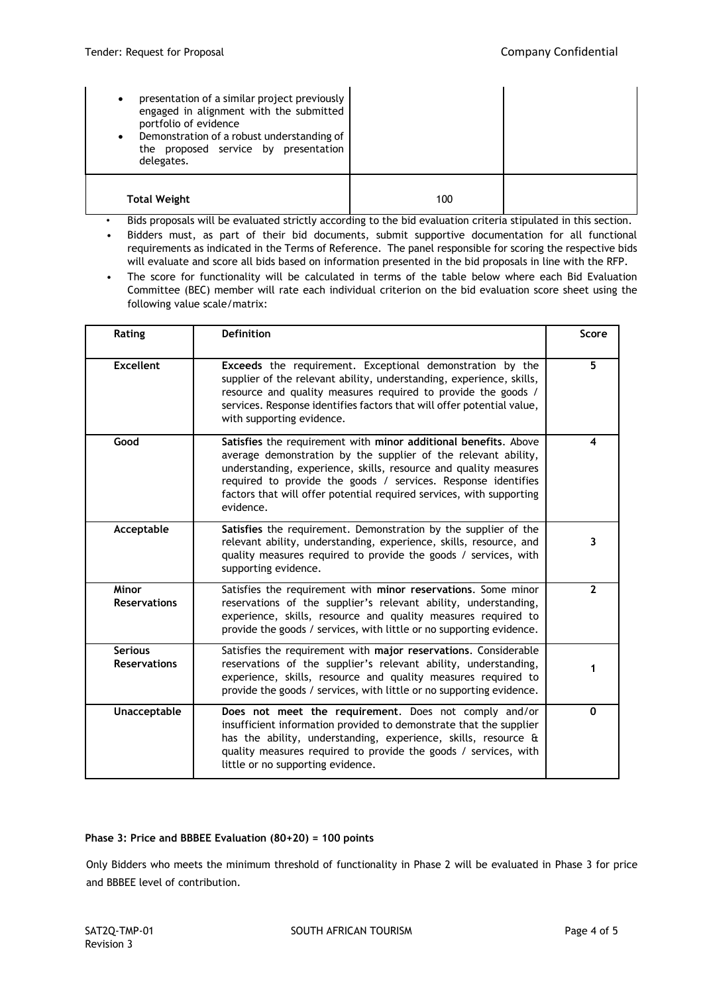| presentation of a similar project previously<br>$\bullet$<br>engaged in alignment with the submitted<br>portfolio of evidence<br>Demonstration of a robust understanding of<br>$\bullet$<br>the proposed service by presentation<br>delegates. |     |  |
|------------------------------------------------------------------------------------------------------------------------------------------------------------------------------------------------------------------------------------------------|-----|--|
| <b>Total Weight</b>                                                                                                                                                                                                                            | 100 |  |

- Bids proposals will be evaluated strictly according to the bid evaluation criteria stipulated in this section.
- Bidders must, as part of their bid documents, submit supportive documentation for all functional requirements as indicated in the Terms of Reference. The panel responsible for scoring the respective bids will evaluate and score all bids based on information presented in the bid proposals in line with the RFP.
- The score for functionality will be calculated in terms of the table below where each Bid Evaluation Committee (BEC) member will rate each individual criterion on the bid evaluation score sheet using the following value scale/matrix:

| Rating                                | <b>Definition</b>                                                                                                                                                                                                                                                                                                                                           | <b>Score</b> |
|---------------------------------------|-------------------------------------------------------------------------------------------------------------------------------------------------------------------------------------------------------------------------------------------------------------------------------------------------------------------------------------------------------------|--------------|
| <b>Excellent</b>                      | <b>Exceeds</b> the requirement. Exceptional demonstration by the<br>supplier of the relevant ability, understanding, experience, skills,<br>resource and quality measures required to provide the goods /<br>services. Response identifies factors that will offer potential value,<br>with supporting evidence.                                            | 5            |
| Good                                  | Satisfies the requirement with minor additional benefits. Above<br>average demonstration by the supplier of the relevant ability,<br>understanding, experience, skills, resource and quality measures<br>required to provide the goods / services. Response identifies<br>factors that will offer potential required services, with supporting<br>evidence. | 4            |
| Acceptable                            | Satisfies the requirement. Demonstration by the supplier of the<br>relevant ability, understanding, experience, skills, resource, and<br>quality measures required to provide the goods / services, with<br>supporting evidence.                                                                                                                            | 3            |
| Minor<br><b>Reservations</b>          | Satisfies the requirement with minor reservations. Some minor<br>reservations of the supplier's relevant ability, understanding,<br>experience, skills, resource and quality measures required to<br>provide the goods / services, with little or no supporting evidence.                                                                                   | $\mathbf{2}$ |
| <b>Serious</b><br><b>Reservations</b> | Satisfies the requirement with major reservations. Considerable<br>reservations of the supplier's relevant ability, understanding,<br>experience, skills, resource and quality measures required to<br>provide the goods / services, with little or no supporting evidence.                                                                                 | 1            |
| Unacceptable                          | Does not meet the requirement. Does not comply and/or<br>insufficient information provided to demonstrate that the supplier<br>has the ability, understanding, experience, skills, resource &<br>quality measures required to provide the goods / services, with<br>little or no supporting evidence.                                                       | $\mathbf{0}$ |

#### **Phase 3: Price and BBBEE Evaluation (80+20) = 100 points**

Only Bidders who meets the minimum threshold of functionality in Phase 2 will be evaluated in Phase 3 for price and BBBEE level of contribution.